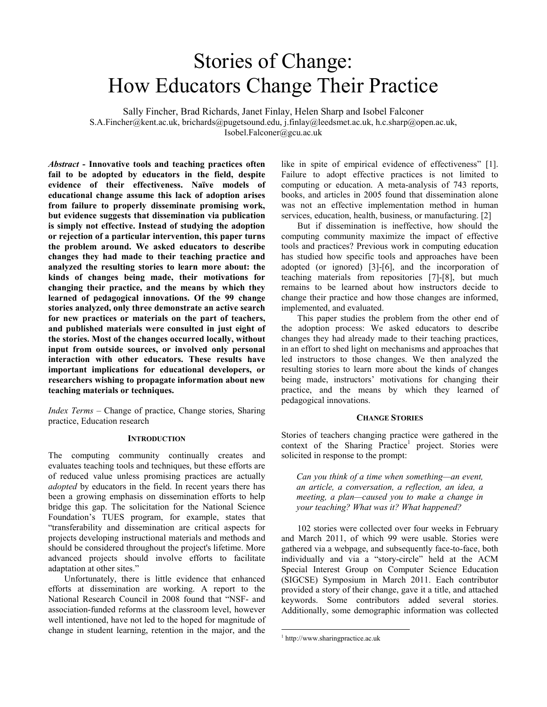# Stories of Change: How Educators Change Their Practice

Sally Fincher, Brad Richards, Janet Finlay, Helen Sharp and Isobel Falconer S.A.Fincher@kent.ac.uk, brichards@pugetsound.edu, j.finlay@leedsmet.ac.uk, h.c.sharp@open.ac.uk, Isobel.Falconer@gcu.ac.uk

*Abstract* **- Innovative tools and teaching practices often fail to be adopted by educators in the field, despite evidence of their effectiveness. Naïve models of educational change assume this lack of adoption arises from failure to properly disseminate promising work, but evidence suggests that dissemination via publication is simply not effective. Instead of studying the adoption or rejection of a particular intervention, this paper turns the problem around. We asked educators to describe changes they had made to their teaching practice and analyzed the resulting stories to learn more about: the kinds of changes being made, their motivations for changing their practice, and the means by which they learned of pedagogical innovations. Of the 99 change stories analyzed, only three demonstrate an active search for new practices or materials on the part of teachers, and published materials were consulted in just eight of the stories. Most of the changes occurred locally, without input from outside sources, or involved only personal interaction with other educators. These results have important implications for educational developers, or researchers wishing to propagate information about new teaching materials or techniques.** 

*Index Terms* – Change of practice, Change stories, Sharing practice, Education research

#### **INTRODUCTION**

The computing community continually creates and evaluates teaching tools and techniques, but these efforts are of reduced value unless promising practices are actually *adopted* by educators in the field. In recent years there has been a growing emphasis on dissemination efforts to help bridge this gap. The solicitation for the National Science Foundation's TUES program, for example, states that "transferability and dissemination are critical aspects for projects developing instructional materials and methods and should be considered throughout the project's lifetime. More advanced projects should involve efforts to facilitate adaptation at other sites."

Unfortunately, there is little evidence that enhanced efforts at dissemination are working. A report to the National Research Council in 2008 found that "NSF- and association-funded reforms at the classroom level, however well intentioned, have not led to the hoped for magnitude of change in student learning, retention in the major, and the

like in spite of empirical evidence of effectiveness" [1]. Failure to adopt effective practices is not limited to computing or education. A meta-analysis of 743 reports, books, and articles in 2005 found that dissemination alone was not an effective implementation method in human services, education, health, business, or manufacturing. [2]

But if dissemination is ineffective, how should the computing community maximize the impact of effective tools and practices? Previous work in computing education has studied how specific tools and approaches have been adopted (or ignored) [3]-[6], and the incorporation of teaching materials from repositories [7]-[8], but much remains to be learned about how instructors decide to change their practice and how those changes are informed, implemented, and evaluated.

This paper studies the problem from the other end of the adoption process: We asked educators to describe changes they had already made to their teaching practices, in an effort to shed light on mechanisms and approaches that led instructors to those changes. We then analyzed the resulting stories to learn more about the kinds of changes being made, instructors' motivations for changing their practice, and the means by which they learned of pedagogical innovations.

#### **CHANGE STORIES**

Stories of teachers changing practice were gathered in the context of the Sharing Practice<sup>1</sup> project. Stories were solicited in response to the prompt:

*Can you think of a time when something—an event, an article, a conversation, a reflection, an idea, a meeting, a plan—caused you to make a change in your teaching? What was it? What happened?* 

102 stories were collected over four weeks in February and March 2011, of which 99 were usable. Stories were gathered via a webpage, and subsequently face-to-face, both individually and via a "story-circle" held at the ACM Special Interest Group on Computer Science Education (SIGCSE) Symposium in March 2011. Each contributor provided a story of their change, gave it a title, and attached keywords. Some contributors added several stories. Additionally, some demographic information was collected

 $\overline{a}$ 

<sup>1</sup> http://www.sharingpractice.ac.uk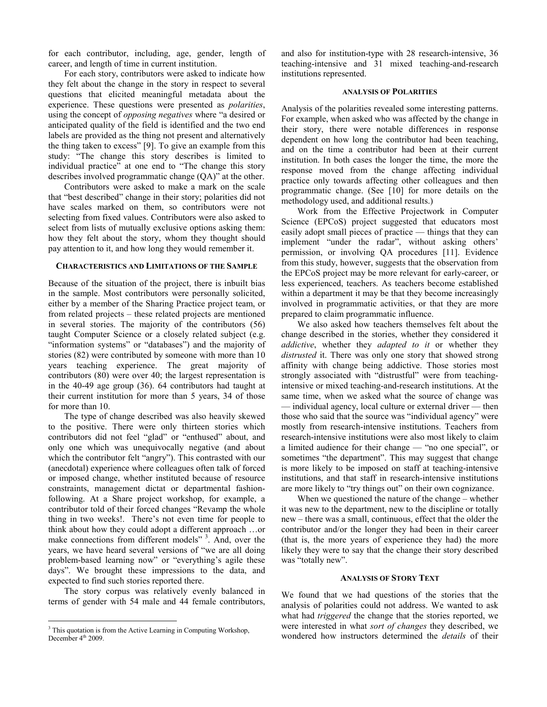for each contributor, including, age, gender, length of career, and length of time in current institution.

For each story, contributors were asked to indicate how they felt about the change in the story in respect to several questions that elicited meaningful metadata about the experience. These questions were presented as *polarities*, using the concept of *opposing negatives* where "a desired or anticipated quality of the field is identified and the two end labels are provided as the thing not present and alternatively the thing taken to excess" [9]. To give an example from this study: "The change this story describes is limited to individual practice" at one end to "The change this story describes involved programmatic change (QA)" at the other.

Contributors were asked to make a mark on the scale that "best described" change in their story; polarities did not have scales marked on them, so contributors were not selecting from fixed values. Contributors were also asked to select from lists of mutually exclusive options asking them: how they felt about the story, whom they thought should pay attention to it, and how long they would remember it.

#### **CHARACTERISTICS AND LIMITATIONS OF THE SAMPLE**

Because of the situation of the project, there is inbuilt bias in the sample. Most contributors were personally solicited, either by a member of the Sharing Practice project team, or from related projects – these related projects are mentioned in several stories. The majority of the contributors (56) taught Computer Science or a closely related subject (e.g. "information systems" or "databases") and the majority of stories (82) were contributed by someone with more than 10 years teaching experience. The great majority of contributors (80) were over 40; the largest representation is in the 40-49 age group (36). 64 contributors had taught at their current institution for more than 5 years, 34 of those for more than 10.

The type of change described was also heavily skewed to the positive. There were only thirteen stories which contributors did not feel "glad" or "enthused" about, and only one which was unequivocally negative (and about which the contributor felt "angry"). This contrasted with our (anecdotal) experience where colleagues often talk of forced or imposed change, whether instituted because of resource constraints, management dictat or departmental fashionfollowing. At a Share project workshop, for example, a contributor told of their forced changes "Revamp the whole thing in two weeks!. There's not even time for people to think about how they could adopt a different approach …or make connections from different models"<sup>3</sup>. And, over the years, we have heard several versions of "we are all doing problem-based learning now" or "everything's agile these days". We brought these impressions to the data, and expected to find such stories reported there.

The story corpus was relatively evenly balanced in terms of gender with 54 male and 44 female contributors,

 $\overline{a}$ 

and also for institution-type with 28 research-intensive, 36 teaching-intensive and 31 mixed teaching-and-research institutions represented.

#### **ANALYSIS OF POLARITIES**

Analysis of the polarities revealed some interesting patterns. For example, when asked who was affected by the change in their story, there were notable differences in response dependent on how long the contributor had been teaching, and on the time a contributor had been at their current institution. In both cases the longer the time, the more the response moved from the change affecting individual practice only towards affecting other colleagues and then programmatic change. (See [10] for more details on the methodology used, and additional results.)

Work from the Effective Projectwork in Computer Science (EPCoS) project suggested that educators most easily adopt small pieces of practice — things that they can implement "under the radar", without asking others' permission, or involving QA procedures [11]. Evidence from this study, however, suggests that the observation from the EPCoS project may be more relevant for early-career, or less experienced, teachers. As teachers become established within a department it may be that they become increasingly involved in programmatic activities, or that they are more prepared to claim programmatic influence.

We also asked how teachers themselves felt about the change described in the stories, whether they considered it *addictive*, whether they *adapted to it* or whether they *distrusted* it. There was only one story that showed strong affinity with change being addictive. Those stories most strongly associated with "distrustful" were from teachingintensive or mixed teaching-and-research institutions. At the same time, when we asked what the source of change was — individual agency, local culture or external driver — then those who said that the source was "individual agency" were mostly from research-intensive institutions. Teachers from research-intensive institutions were also most likely to claim a limited audience for their change — "no one special", or sometimes "the department". This may suggest that change is more likely to be imposed on staff at teaching-intensive institutions, and that staff in research-intensive institutions are more likely to "try things out" on their own cognizance.

When we questioned the nature of the change – whether it was new to the department, new to the discipline or totally new – there was a small, continuous, effect that the older the contributor and/or the longer they had been in their career (that is, the more years of experience they had) the more likely they were to say that the change their story described was "totally new".

# **ANALYSIS OF STORY TEXT**

We found that we had questions of the stories that the analysis of polarities could not address. We wanted to ask what had *triggered* the change that the stories reported, we were interested in what *sort of changes* they described, we wondered how instructors determined the *details* of their

<sup>&</sup>lt;sup>3</sup> This quotation is from the Active Learning in Computing Workshop, December  $4<sup>th</sup>$  2009.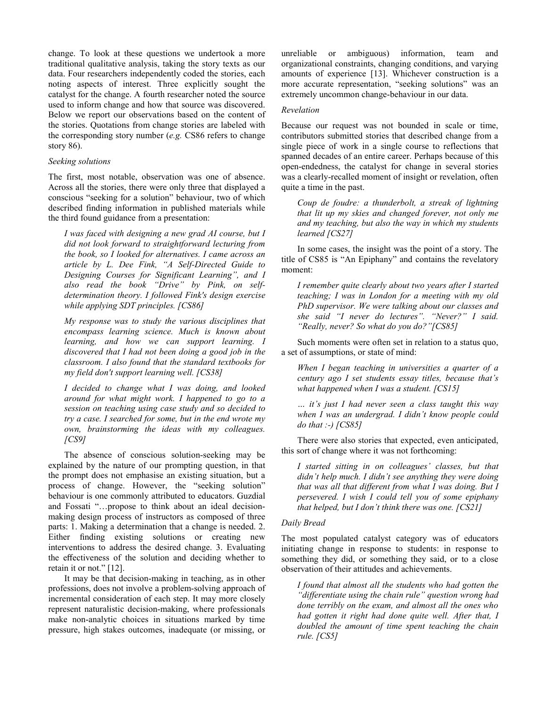change. To look at these questions we undertook a more traditional qualitative analysis, taking the story texts as our data. Four researchers independently coded the stories, each noting aspects of interest. Three explicitly sought the catalyst for the change. A fourth researcher noted the source used to inform change and how that source was discovered. Below we report our observations based on the content of the stories. Quotations from change stories are labeled with the corresponding story number (*e.g.* CS86 refers to change story 86).

# *Seeking solutions*

The first, most notable, observation was one of absence. Across all the stories, there were only three that displayed a conscious "seeking for a solution" behaviour, two of which described finding information in published materials while the third found guidance from a presentation:

*I was faced with designing a new grad AI course, but I did not look forward to straightforward lecturing from the book, so I looked for alternatives. I came across an article by L. Dee Fink, "A Self-Directed Guide to Designing Courses for Significant Learning", and I also read the book "Drive" by Pink, on selfdetermination theory. I followed Fink's design exercise while applying SDT principles. [CS86]* 

*My response was to study the various disciplines that encompass learning science. Much is known about learning, and how we can support learning. I discovered that I had not been doing a good job in the classroom. I also found that the standard textbooks for my field don't support learning well. [CS38]* 

*I decided to change what I was doing, and looked around for what might work. I happened to go to a session on teaching using case study and so decided to try a case. I searched for some, but in the end wrote my own, brainstorming the ideas with my colleagues. [CS9]* 

The absence of conscious solution-seeking may be explained by the nature of our prompting question, in that the prompt does not emphasise an existing situation, but a process of change. However, the "seeking solution" behaviour is one commonly attributed to educators. Guzdial and Fossati "…propose to think about an ideal decisionmaking design process of instructors as composed of three parts: 1. Making a determination that a change is needed. 2. Either finding existing solutions or creating new interventions to address the desired change. 3. Evaluating the effectiveness of the solution and deciding whether to retain it or not." [12].

It may be that decision-making in teaching, as in other professions, does not involve a problem-solving approach of incremental consideration of each step. It may more closely represent naturalistic decision-making, where professionals make non-analytic choices in situations marked by time pressure, high stakes outcomes, inadequate (or missing, or

unreliable or ambiguous) information, team and organizational constraints, changing conditions, and varying amounts of experience [13]. Whichever construction is a more accurate representation, "seeking solutions" was an extremely uncommon change-behaviour in our data.

# *Revelation*

Because our request was not bounded in scale or time, contributors submitted stories that described change from a single piece of work in a single course to reflections that spanned decades of an entire career. Perhaps because of this open-endedness, the catalyst for change in several stories was a clearly-recalled moment of insight or revelation, often quite a time in the past.

*Coup de foudre: a thunderbolt, a streak of lightning that lit up my skies and changed forever, not only me and my teaching, but also the way in which my students learned [CS27]* 

In some cases, the insight was the point of a story. The title of CS85 is "An Epiphany" and contains the revelatory moment:

*I remember quite clearly about two years after I started teaching; I was in London for a meeting with my old PhD supervisor. We were talking about our classes and she said "I never do lectures". "Never?" I said. "Really, never? So what do you do?"[CS85]* 

Such moments were often set in relation to a status quo, a set of assumptions, or state of mind:

*When I began teaching in universities a quarter of a century ago I set students essay titles, because that's what happened when I was a student. [CS15]* 

*… it's just I had never seen a class taught this way when I was an undergrad. I didn't know people could do that :-) [CS85]* 

There were also stories that expected, even anticipated, this sort of change where it was not forthcoming:

*I started sitting in on colleagues' classes, but that didn't help much. I didn't see anything they were doing that was all that different from what I was doing. But I persevered. I wish I could tell you of some epiphany that helped, but I don't think there was one. [CS21]* 

# *Daily Bread*

The most populated catalyst category was of educators initiating change in response to students: in response to something they did, or something they said, or to a close observation of their attitudes and achievements.

*I found that almost all the students who had gotten the "differentiate using the chain rule" question wrong had done terribly on the exam, and almost all the ones who had gotten it right had done quite well. After that, I doubled the amount of time spent teaching the chain rule. [CS5]*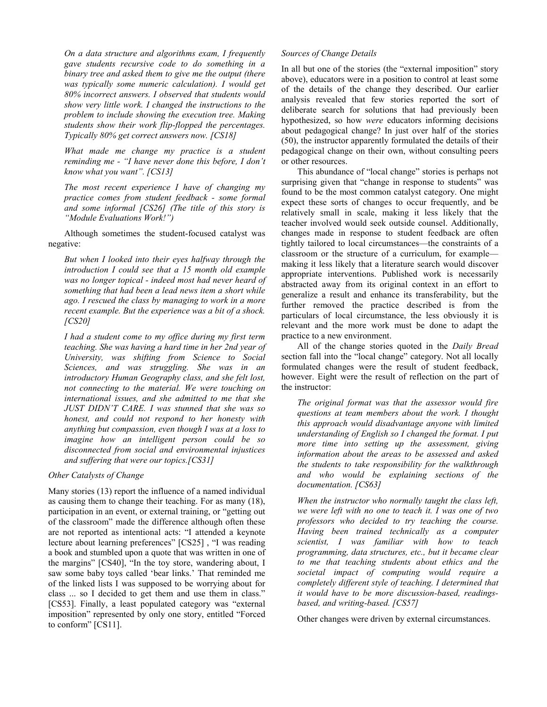*On a data structure and algorithms exam, I frequently gave students recursive code to do something in a binary tree and asked them to give me the output (there was typically some numeric calculation). I would get 80% incorrect answers. I observed that students would show very little work. I changed the instructions to the problem to include showing the execution tree. Making students show their work flip-flopped the percentages. Typically 80% get correct answers now. [CS18]* 

*What made me change my practice is a student reminding me - "I have never done this before, I don't know what you want". [CS13]* 

*The most recent experience I have of changing my practice comes from student feedback - some formal and some informal [CS26] (The title of this story is "Module Evaluations Work!")* 

Although sometimes the student-focused catalyst was negative:

*But when I looked into their eyes halfway through the introduction I could see that a 15 month old example was no longer topical - indeed most had never heard of something that had been a lead news item a short while ago. I rescued the class by managing to work in a more recent example. But the experience was a bit of a shock. [CS20]* 

*I had a student come to my office during my first term teaching. She was having a hard time in her 2nd year of University, was shifting from Science to Social Sciences, and was struggling. She was in an introductory Human Geography class, and she felt lost, not connecting to the material. We were touching on international issues, and she admitted to me that she JUST DIDN'T CARE. I was stunned that she was so honest, and could not respond to her honesty with anything but compassion, even though I was at a loss to imagine how an intelligent person could be so disconnected from social and environmental injustices and suffering that were our topics.[CS31]* 

# *Other Catalysts of Change*

Many stories (13) report the influence of a named individual as causing them to change their teaching. For as many (18), participation in an event, or external training, or "getting out of the classroom" made the difference although often these are not reported as intentional acts: "I attended a keynote lecture about learning preferences" [CS25] , "I was reading a book and stumbled upon a quote that was written in one of the margins" [CS40], "In the toy store, wandering about, I saw some baby toys called 'bear links.' That reminded me of the linked lists I was supposed to be worrying about for class ... so I decided to get them and use them in class." [CS53]. Finally, a least populated category was "external imposition" represented by only one story, entitled "Forced to conform" [CS11].

# *Sources of Change Details*

In all but one of the stories (the "external imposition" story above), educators were in a position to control at least some of the details of the change they described. Our earlier analysis revealed that few stories reported the sort of deliberate search for solutions that had previously been hypothesized, so how *were* educators informing decisions about pedagogical change? In just over half of the stories (50), the instructor apparently formulated the details of their pedagogical change on their own, without consulting peers or other resources.

This abundance of "local change" stories is perhaps not surprising given that "change in response to students" was found to be the most common catalyst category. One might expect these sorts of changes to occur frequently, and be relatively small in scale, making it less likely that the teacher involved would seek outside counsel. Additionally, changes made in response to student feedback are often tightly tailored to local circumstances—the constraints of a classroom or the structure of a curriculum, for example making it less likely that a literature search would discover appropriate interventions. Published work is necessarily abstracted away from its original context in an effort to generalize a result and enhance its transferability, but the further removed the practice described is from the particulars of local circumstance, the less obviously it is relevant and the more work must be done to adapt the practice to a new environment.

All of the change stories quoted in the *Daily Bread* section fall into the "local change" category. Not all locally formulated changes were the result of student feedback, however. Eight were the result of reflection on the part of the instructor:

*The original format was that the assessor would fire questions at team members about the work. I thought this approach would disadvantage anyone with limited understanding of English so I changed the format. I put more time into setting up the assessment, giving information about the areas to be assessed and asked the students to take responsibility for the walkthrough and who would be explaining sections of the documentation. [CS63]* 

*When the instructor who normally taught the class left, we were left with no one to teach it. I was one of two professors who decided to try teaching the course. Having been trained technically as a computer scientist, I was familiar with how to teach programming, data structures, etc., but it became clear to me that teaching students about ethics and the societal impact of computing would require a completely different style of teaching. I determined that it would have to be more discussion-based, readingsbased, and writing-based. [CS57]* 

Other changes were driven by external circumstances.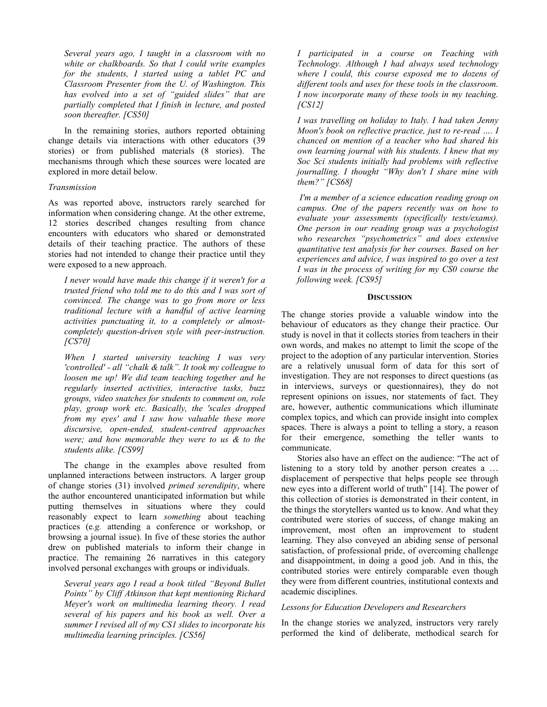*Several years ago, I taught in a classroom with no white or chalkboards. So that I could write examples for the students, I started using a tablet PC and Classroom Presenter from the U. of Washington. This has evolved into a set of "guided slides" that are partially completed that I finish in lecture, and posted soon thereafter. [CS50]* 

In the remaining stories, authors reported obtaining change details via interactions with other educators (39 stories) or from published materials (8 stories). The mechanisms through which these sources were located are explored in more detail below.

### *Transmission*

As was reported above, instructors rarely searched for information when considering change. At the other extreme, 12 stories described changes resulting from chance encounters with educators who shared or demonstrated details of their teaching practice. The authors of these stories had not intended to change their practice until they were exposed to a new approach.

*I never would have made this change if it weren't for a trusted friend who told me to do this and I was sort of convinced. The change was to go from more or less traditional lecture with a handful of active learning activities punctuating it, to a completely or almostcompletely question-driven style with peer-instruction. [CS70]* 

*When I started university teaching I was very 'controlled' - all "chalk & talk". It took my colleague to loosen me up! We did team teaching together and he regularly inserted activities, interactive tasks, buzz groups, video snatches for students to comment on, role play, group work etc. Basically, the 'scales dropped from my eyes' and I saw how valuable these more discursive, open-ended, student-centred approaches were; and how memorable they were to us & to the students alike. [CS99]* 

The change in the examples above resulted from unplanned interactions between instructors. A larger group of change stories (31) involved *primed serendipity*, where the author encountered unanticipated information but while putting themselves in situations where they could reasonably expect to learn *something* about teaching practices (e*.g.* attending a conference or workshop, or browsing a journal issue). In five of these stories the author drew on published materials to inform their change in practice. The remaining 26 narratives in this category involved personal exchanges with groups or individuals.

*Several years ago I read a book titled "Beyond Bullet Points" by Cliff Atkinson that kept mentioning Richard Meyer's work on multimedia learning theory. I read several of his papers and his book as well. Over a summer I revised all of my CS1 slides to incorporate his multimedia learning principles. [CS56]* 

*I participated in a course on Teaching with Technology. Although I had always used technology where I could, this course exposed me to dozens of different tools and uses for these tools in the classroom. I now incorporate many of these tools in my teaching. [CS12]* 

*I was travelling on holiday to Italy. I had taken Jenny Moon's book on reflective practice, just to re-read …. I chanced on mention of a teacher who had shared his own learning journal with his students. I knew that my Soc Sci students initially had problems with reflective journalling. I thought "Why don't I share mine with them?" [CS68]* 

 *I'm a member of a science education reading group on campus. One of the papers recently was on how to evaluate your assessments (specifically tests/exams). One person in our reading group was a psychologist who researches "psychometrics" and does extensive quantitative test analysis for her courses. Based on her experiences and advice, I was inspired to go over a test I was in the process of writing for my CS0 course the following week. [CS95]* 

#### **DISCUSSION**

The change stories provide a valuable window into the behaviour of educators as they change their practice. Our study is novel in that it collects stories from teachers in their own words, and makes no attempt to limit the scope of the project to the adoption of any particular intervention. Stories are a relatively unusual form of data for this sort of investigation. They are not responses to direct questions (as in interviews, surveys or questionnaires), they do not represent opinions on issues, nor statements of fact. They are, however, authentic communications which illuminate complex topics, and which can provide insight into complex spaces. There is always a point to telling a story, a reason for their emergence, something the teller wants to communicate.

Stories also have an effect on the audience: "The act of listening to a story told by another person creates a … displacement of perspective that helps people see through new eyes into a different world of truth" [14]. The power of this collection of stories is demonstrated in their content, in the things the storytellers wanted us to know. And what they contributed were stories of success, of change making an improvement, most often an improvement to student learning. They also conveyed an abiding sense of personal satisfaction, of professional pride, of overcoming challenge and disappointment, in doing a good job. And in this, the contributed stories were entirely comparable even though they were from different countries, institutional contexts and academic disciplines.

# *Lessons for Education Developers and Researchers*

In the change stories we analyzed, instructors very rarely performed the kind of deliberate, methodical search for